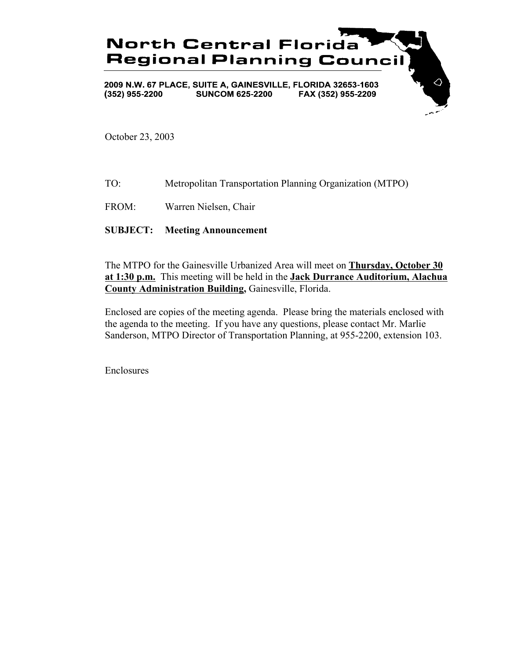

October 23, 2003

- TO: Metropolitan Transportation Planning Organization (MTPO)
- FROM: Warren Nielsen, Chair

## **SUBJECT: Meeting Announcement**

The MTPO for the Gainesville Urbanized Area will meet on **Thursday, October 30 at 1:30 p.m.** This meeting will be held in the **Jack Durrance Auditorium, Alachua County Administration Building,** Gainesville, Florida.

Enclosed are copies of the meeting agenda. Please bring the materials enclosed with the agenda to the meeting. If you have any questions, please contact Mr. Marlie Sanderson, MTPO Director of Transportation Planning, at 955-2200, extension 103.

Enclosures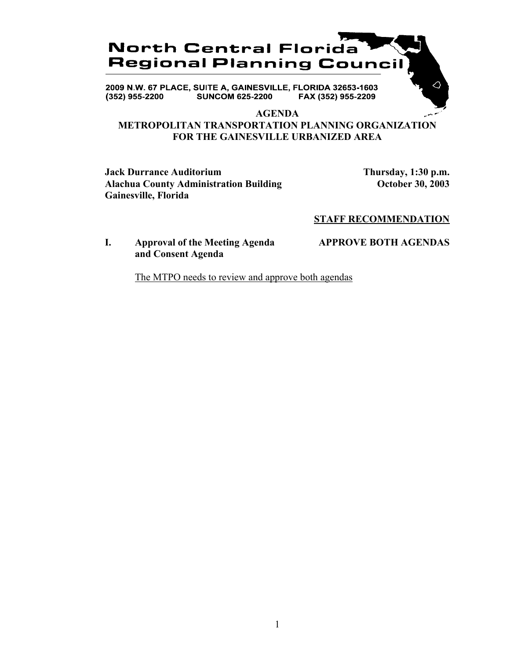# **North Central Florida Regional Planning Council**

2009 N.W. 67 PLACE, SUITE A, GAINESVILLE, FLORIDA 32653-1603 **SUNCOM 625-2200** FAX (352) 955-2209  $(352)$  955-2200

#### **AGENDA**

# **METROPOLITAN TRANSPORTATION PLANNING ORGANIZATION FOR THE GAINESVILLE URBANIZED AREA**

**Jack Durrance Auditorium Thursday, 1:30 p.m.** Alachua County Administration Building **County Administration Building October 30, 2003 Gainesville, Florida**

## **STAFF RECOMMENDATION**

### **I. Approval of the Meeting Agenda APPROVE BOTH AGENDAS and Consent Agenda**

The MTPO needs to review and approve both agendas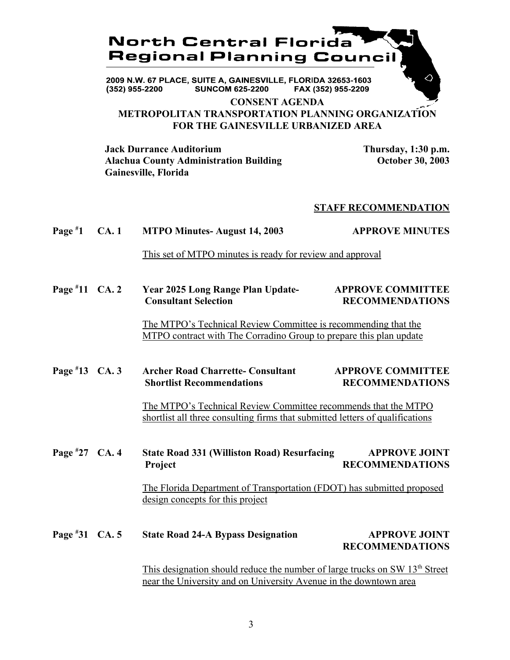

2009 N.W. 67 PLACE, SUITE A, GAINESVILLE, FLORIDA 32653-1603 **SUNCOM 625-2200**  $(352)$  955-2200 FAX (352) 955-2209

**CONSENT AGENDA METROPOLITAN TRANSPORTATION PLANNING ORGANIZATION FOR THE GAINESVILLE URBANIZED AREA**

**Jack Durrance Auditorium Thursday, 1:30 p.m. Alachua County Administration Building October 30, 2003 Gainesville, Florida**

#### **STAFF RECOMMENDATION**

| Page $*1$ CA. 1 |  | <b>MTPO Minutes- August 14, 2003</b> | <b>APPROVE MINUTES</b> |
|-----------------|--|--------------------------------------|------------------------|
|-----------------|--|--------------------------------------|------------------------|

This set of MTPO minutes is ready for review and approval

**Page # 11 Year 2025 Long Range Plan Update-** APPROVE COMMITTEE **Consultant Selection RECOMMENDATIONS** 

> The MTPO's Technical Review Committee is recommending that the MTPO contract with The Corradino Group to prepare this plan update

**Page #** Archer Road Charrette- Consultant **APPROVE COMMITTEE Shortlist Recommendations RECOMMENDATIONS** 

> The MTPO's Technical Review Committee recommends that the MTPO shortlist all three consulting firms that submitted letters of qualifications

**Page # 27 State Road 331 (Williston Road) Resurfacing APPROVE JOINT** Project RECOMMENDATIONS

> The Florida Department of Transportation (FDOT) has submitted proposed design concepts for this project

**Page # State Road 24-A Bypass Designation APPROVE JOINT RECOMMENDATIONS**

> This designation should reduce the number of large trucks on SW  $13<sup>th</sup>$  Street near the University and on University Avenue in the downtown area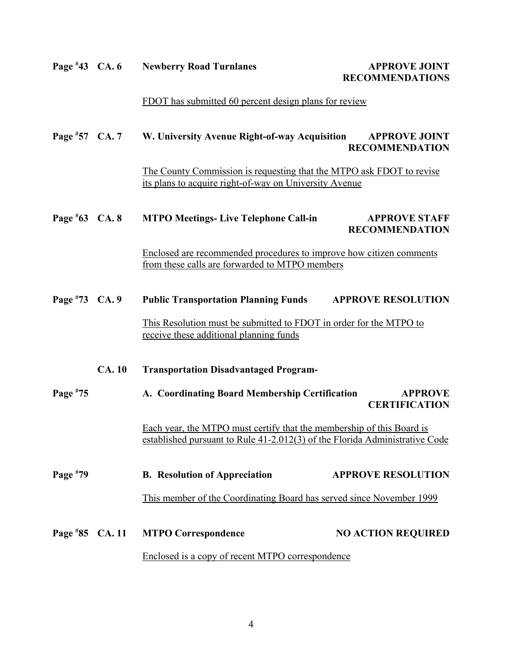| Page $*43$ CA. 6  |                                                                                                                                                                                                        | <b>Newberry Road Turnlanes</b>                                                                                                 | <b>APPROVE JOINT</b><br><b>RECOMMENDATIONS</b> |  |
|-------------------|--------------------------------------------------------------------------------------------------------------------------------------------------------------------------------------------------------|--------------------------------------------------------------------------------------------------------------------------------|------------------------------------------------|--|
|                   |                                                                                                                                                                                                        | FDOT has submitted 60 percent design plans for review                                                                          |                                                |  |
| Page $*57$ CA. 7  |                                                                                                                                                                                                        | W. University Avenue Right-of-way Acquisition                                                                                  | <b>APPROVE JOINT</b><br><b>RECOMMENDATION</b>  |  |
|                   |                                                                                                                                                                                                        | The County Commission is requesting that the MTPO ask FDOT to revise<br>its plans to acquire right-of-way on University Avenue |                                                |  |
| Page $*63$ CA. 8  |                                                                                                                                                                                                        | <b>MTPO Meetings-Live Telephone Call-in</b>                                                                                    | <b>APPROVE STAFF</b><br><b>RECOMMENDATION</b>  |  |
|                   |                                                                                                                                                                                                        | Enclosed are recommended procedures to improve how citizen comments<br>from these calls are forwarded to MTPO members          |                                                |  |
| Page #73 CA. 9    |                                                                                                                                                                                                        | <b>Public Transportation Planning Funds</b>                                                                                    | <b>APPROVE RESOLUTION</b>                      |  |
|                   |                                                                                                                                                                                                        | This Resolution must be submitted to FDOT in order for the MTPO to<br>receive these additional planning funds                  |                                                |  |
|                   | <b>CA.10</b>                                                                                                                                                                                           | <b>Transportation Disadvantaged Program-</b>                                                                                   |                                                |  |
| Page #75          | A. Coordinating Board Membership Certification<br>Each year, the MTPO must certify that the membership of this Board is<br>established pursuant to Rule 41-2.012(3) of the Florida Administrative Code |                                                                                                                                | <b>APPROVE</b><br><b>CERTIFICATION</b>         |  |
|                   |                                                                                                                                                                                                        |                                                                                                                                |                                                |  |
| Page #79          |                                                                                                                                                                                                        | <b>B.</b> Resolution of Appreciation                                                                                           | <b>APPROVE RESOLUTION</b>                      |  |
|                   |                                                                                                                                                                                                        | This member of the Coordinating Board has served since November 1999                                                           |                                                |  |
| Page $*85$ CA. 11 |                                                                                                                                                                                                        | <b>MTPO Correspondence</b>                                                                                                     | <b>NO ACTION REQUIRED</b>                      |  |
|                   |                                                                                                                                                                                                        | Enclosed is a copy of recent MTPO correspondence                                                                               |                                                |  |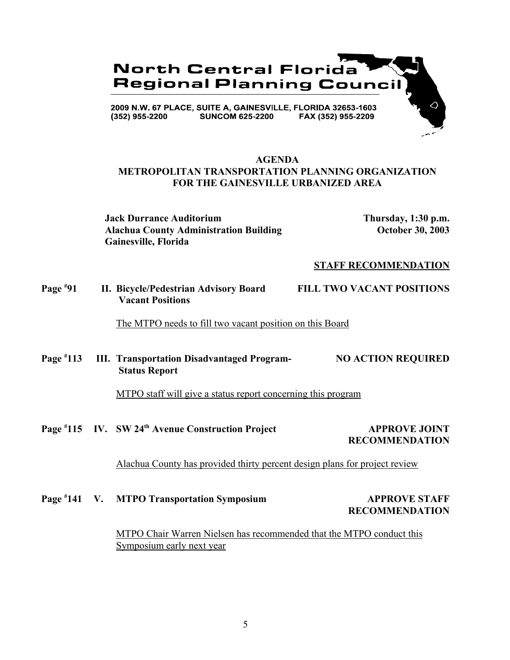

## **AGENDA METROPOLITAN TRANSPORTATION PLANNING ORGANIZATION FOR THE GAINESVILLE URBANIZED AREA**

**Jack Durrance Auditorium Thursday, 1:30 p.m. Alachua County Administration Building October 30, 2003 Gainesville, Florida**

#### **STAFF RECOMMENDATION**

**Page # 91 II. Bicycle/Pedestrian Advisory Board FILL TWO VACANT POSITIONS Vacant Positions**

The MTPO needs to fill two vacant position on this Board

**Page # 113 III. Transportation Disadvantaged Program- NO ACTION REQUIRED Status Report**

MTPO staff will give a status report concerning this program

Page #115 IV. SW 24<sup>th</sup> Avenue Construction Project **APPROVE JOINT RECOMMENDATION**

Alachua County has provided thirty percent design plans for project review

Page #141 V. MTPO Transportation Symposium **APPROVE STAFF RECOMMENDATION**

> MTPO Chair Warren Nielsen has recommended that the MTPO conduct this Symposium early next year